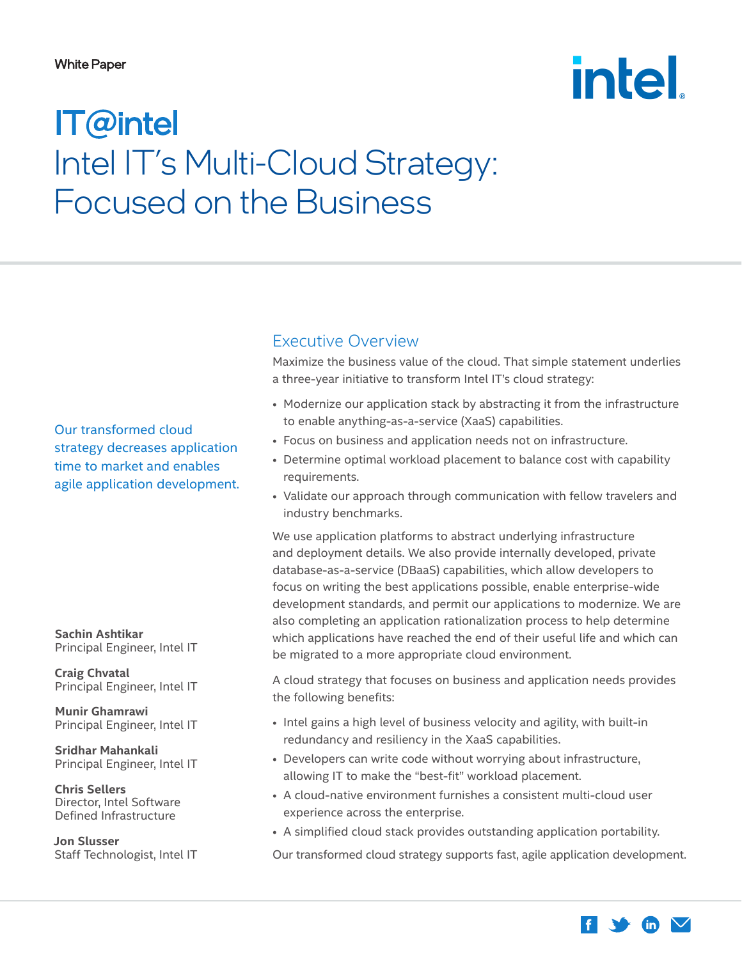#### <span id="page-0-0"></span>White Paper

# **intel**

## IT@intel Intel IT's Multi-Cloud Strategy: Focused on the Business

Our transformed cloud strategy decreases application time to market and enables agile application development.

**Sachin Ashtikar** Principal Engineer, Intel IT

**Craig Chvatal** Principal Engineer, Intel IT

**Munir Ghamrawi** Principal Engineer, Intel IT

**Sridhar Mahankali** Principal Engineer, Intel IT

**Chris Sellers** Director, Intel Software Defined Infrastructure

**Jon Slusser** Staff Technologist, Intel IT

## Executive Overview

Maximize the business value of the cloud. That simple statement underlies a three-year initiative to transform Intel IT's cloud strategy:

- Modernize our application stack by abstracting it from the infrastructure to enable anything-as-a-service (XaaS) capabilities.
- Focus on business and application needs not on infrastructure.
- Determine optimal workload placement to balance cost with capability requirements.
- Validate our approach through communication with fellow travelers and industry benchmarks.

We use application platforms to abstract underlying infrastructure and deployment details. We also provide internally developed, private database-as-a-service (DBaaS) capabilities, which allow developers to focus on writing the best applications possible, enable enterprise-wide development standards, and permit our applications to modernize. We are also completing an application rationalization process to help determine which applications have reached the end of their useful life and which can be migrated to a more appropriate cloud environment.

A cloud strategy that focuses on business and application needs provides the following benefits:

- Intel gains a high level of business velocity and agility, with built-in redundancy and resiliency in the XaaS capabilities.
- Developers can write code without worrying about infrastructure, allowing IT to make the "best-fit" workload placement.
- A cloud-native environment furnishes a consistent multi-cloud user experience across the enterprise.
- A simplified cloud stack provides outstanding application portability.

Our transformed cloud strategy supports fast, agile application development.

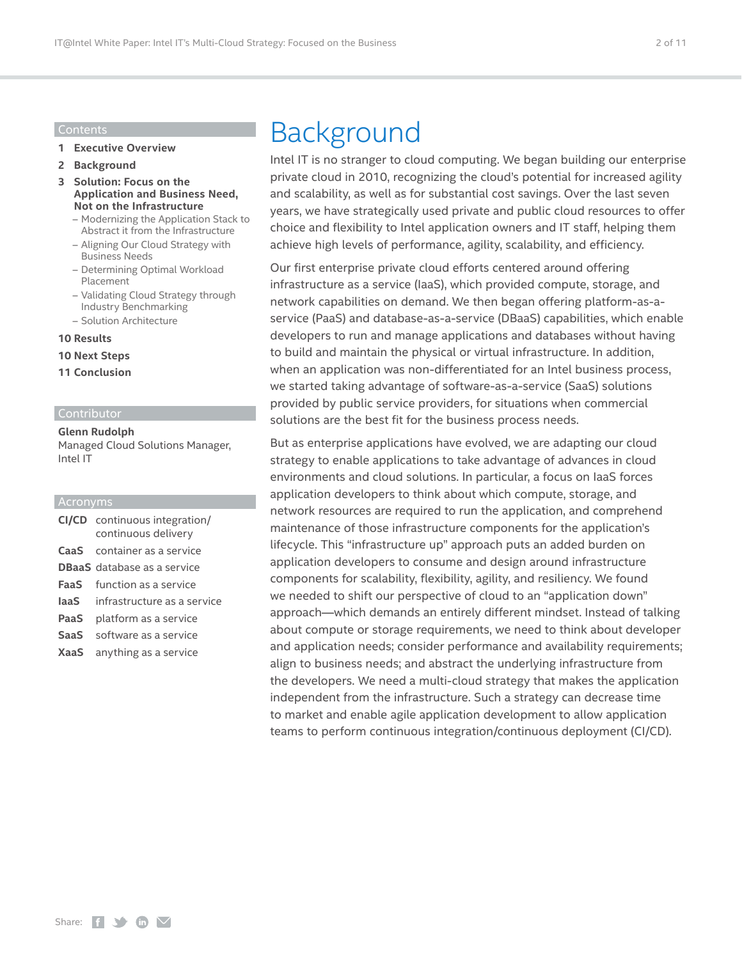#### Contents

- **1 [Executive Overview](#page-0-0)**
- **2 Background**
- **3 [Solution: Focus on the](#page-2-0)  [Application and Business Need,](#page-2-0)  [Not on the Infrastructure](#page-2-0)**
	- [Modernizing the Application Stack to](#page-3-0) [Abstract it from the Infrastructure](#page-3-0)
	- [Aligning Our Cloud Strategy with](#page-4-0) [Business Needs](#page-4-0)
	- [Determining Optimal Workload](#page-7-0) [Placement](#page-7-0)
	- [Validating Cloud Strategy through](#page-8-0) [Industry Benchmarking](#page-8-0)
	- [Solution Architecture](#page-8-0)

#### **10 [Results](#page-9-0)**

- **10 [Next Steps](#page-9-0)**
- **11 [Conclusion](#page-10-0)**

#### Contributor

**Glenn Rudolph** Managed Cloud Solutions Manager, Intel IT

#### Acronyms

|      | <b>CI/CD</b> continuous integration/<br>continuous delivery |
|------|-------------------------------------------------------------|
|      | <b>CaaS</b> container as a service                          |
|      | <b>DBaaS</b> database as a service                          |
| FaaS | function as a service                                       |
|      | <b>laaS</b> infrastructure as a service                     |
| PaaS | platform as a service                                       |
| SaaS | software as a service                                       |
| XaaS | anything as a service                                       |

## Background

Intel IT is no stranger to cloud computing. We began building our enterprise private cloud in 2010, recognizing the cloud's potential for increased agility and scalability, as well as for substantial cost savings. Over the last seven years, we have strategically used private and public cloud resources to offer choice and flexibility to Intel application owners and IT staff, helping them achieve high levels of performance, agility, scalability, and efficiency.

Our first enterprise private cloud efforts centered around offering infrastructure as a service (IaaS), which provided compute, storage, and network capabilities on demand. We then began offering platform-as-aservice (PaaS) and database-as-a-service (DBaaS) capabilities, which enable developers to run and manage applications and databases without having to build and maintain the physical or virtual infrastructure. In addition, when an application was non-differentiated for an Intel business process, we started taking advantage of software-as-a-service (SaaS) solutions provided by public service providers, for situations when commercial solutions are the best fit for the business process needs.

But as enterprise applications have evolved, we are adapting our cloud strategy to enable applications to take advantage of advances in cloud environments and cloud solutions. In particular, a focus on IaaS forces application developers to think about which compute, storage, and network resources are required to run the application, and comprehend maintenance of those infrastructure components for the application's lifecycle. This "infrastructure up" approach puts an added burden on application developers to consume and design around infrastructure components for scalability, flexibility, agility, and resiliency. We found we needed to shift our perspective of cloud to an "application down" approach—which demands an entirely different mindset. Instead of talking about compute or storage requirements, we need to think about developer and application needs; consider performance and availability requirements; align to business needs; and abstract the underlying infrastructure from the developers. We need a multi-cloud strategy that makes the application independent from the infrastructure. Such a strategy can decrease time to market and enable agile application development to allow application teams to perform continuous integration/continuous deployment (CI/CD).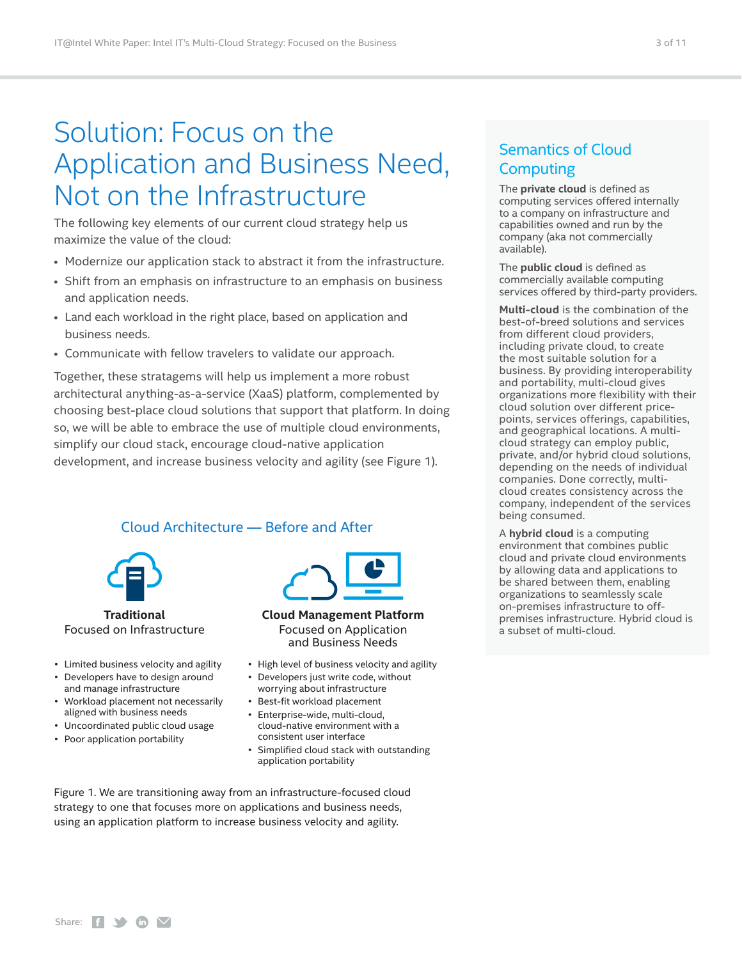## <span id="page-2-0"></span>Solution: Focus on the Application and Business Need, Not on the Infrastructure

The following key elements of our current cloud strategy help us maximize the value of the cloud:

- Modernize our application stack to abstract it from the infrastructure.
- Shift from an emphasis on infrastructure to an emphasis on business and application needs.
- Land each workload in the right place, based on application and business needs.
- Communicate with fellow travelers to validate our approach.

Together, these stratagems will help us implement a more robust architectural anything-as-a-service (XaaS) platform, complemented by choosing best-place cloud solutions that support that platform. In doing so, we will be able to embrace the use of multiple cloud environments, simplify our cloud stack, encourage cloud-native application development, and increase business velocity and agility (see Figure 1).

## Cloud Architecture — Before and After



**Traditional** Focused on Infrastructure

- � Limited business velocity and agility
- Developers have to design around and manage infrastructure
- Workload placement not necessarily aligned with business needs
- � Uncoordinated public cloud usage
- � Poor application portability



**Cloud Management Platform** Focused on Application and Business Needs

- � High level of business velocity and agility
- � Developers just write code, without worrying about infrastructure
- � Best-fit workload placement
- � Enterprise-wide, multi-cloud, cloud-native environment with a consistent user interface
- � Simplified cloud stack with outstanding application portability

Figure 1. We are transitioning away from an infrastructure-focused cloud strategy to one that focuses more on applications and business needs, using an application platform to increase business velocity and agility.

## Semantics of Cloud **Computing**

The **private cloud** is defined as computing services offered internally to a company on infrastructure and capabilities owned and run by the company (aka not commercially available).

The **public cloud** is defined as commercially available computing services offered by third-party providers.

**Multi-cloud** is the combination of the best-of-breed solutions and services from different cloud providers, including private cloud, to create the most suitable solution for a business. By providing interoperability and portability, multi-cloud gives organizations more flexibility with their cloud solution over different pricepoints, services offerings, capabilities, and geographical locations. A multicloud strategy can employ public, private, and/or hybrid cloud solutions, depending on the needs of individual companies. Done correctly, multicloud creates consistency across the company, independent of the services being consumed.

A **hybrid cloud** is a computing environment that combines public cloud and private cloud environments by allowing data and applications to be shared between them, enabling organizations to seamlessly scale on-premises infrastructure to offpremises infrastructure. Hybrid cloud is a subset of multi-cloud.

Share:  $f \rightarrow \mathbf{in}$   $\mathbf{\nabla}$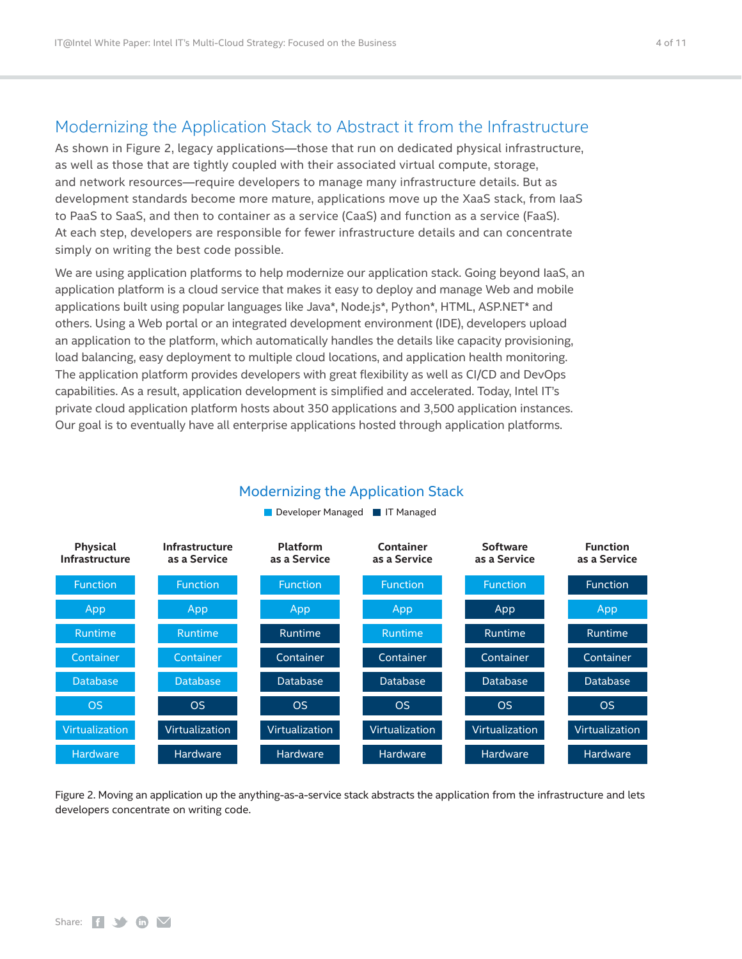## <span id="page-3-0"></span>Modernizing the Application Stack to Abstract it from the Infrastructure

As shown in Figure 2, legacy applications—those that run on dedicated physical infrastructure, as well as those that are tightly coupled with their associated virtual compute, storage, and network resources—require developers to manage many infrastructure details. But as development standards become more mature, applications move up the XaaS stack, from IaaS to PaaS to SaaS, and then to container as a service (CaaS) and function as a service (FaaS). At each step, developers are responsible for fewer infrastructure details and can concentrate simply on writing the best code possible.

We are using application platforms to help modernize our application stack. Going beyond IaaS, an application platform is a cloud service that makes it easy to deploy and manage Web and mobile applications built using popular languages like Java\*, Node.js\*, Python\*, HTML, ASP.NET\* and others. Using a Web portal or an integrated development environment (IDE), developers upload an application to the platform, which automatically handles the details like capacity provisioning, load balancing, easy deployment to multiple cloud locations, and application health monitoring. The application platform provides developers with great flexibility as well as CI/CD and DevOps capabilities. As a result, application development is simplified and accelerated. Today, Intel IT's private cloud application platform hosts about 350 applications and 3,500 application instances. Our goal is to eventually have all enterprise applications hosted through application platforms.



### Modernizing the Application Stack

Figure 2. Moving an application up the anything-as-a-service stack abstracts the application from the infrastructure and lets developers concentrate on writing code.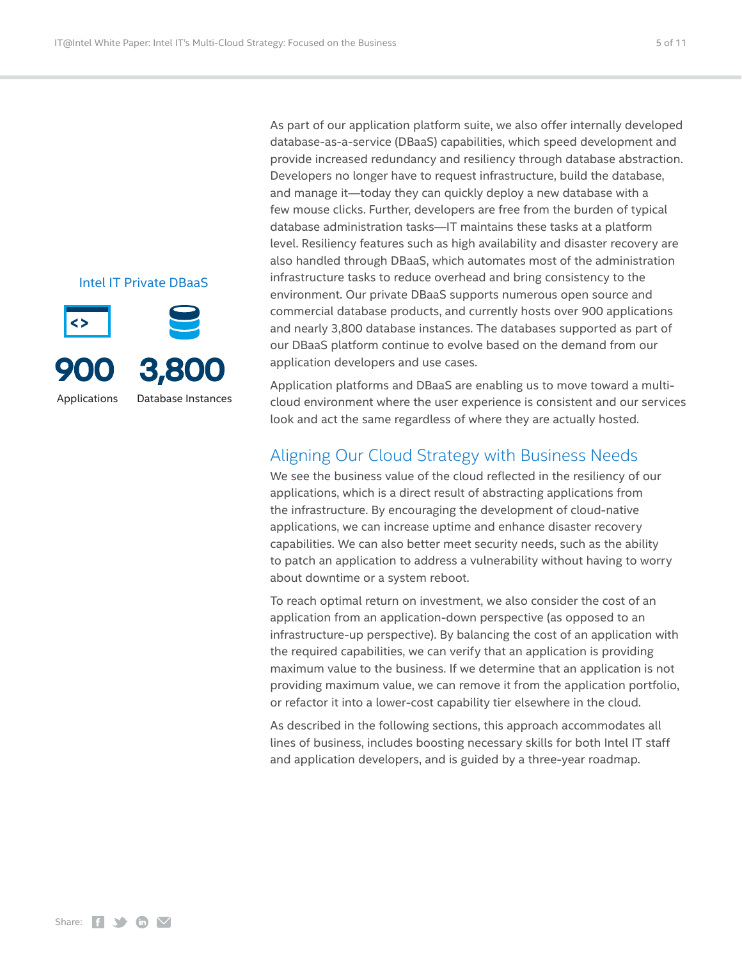<span id="page-4-0"></span>Intel IT Private DBaaS



As part of our application platform suite, we also offer internally developed database-as-a-service (DBaaS) capabilities, which speed development and provide increased redundancy and resiliency through database abstraction. Developers no longer have to request infrastructure, build the database, and manage it—today they can quickly deploy a new database with a few mouse clicks. Further, developers are free from the burden of typical database administration tasks—IT maintains these tasks at a platform level. Resiliency features such as high availability and disaster recovery are also handled through DBaaS, which automates most of the administration infrastructure tasks to reduce overhead and bring consistency to the environment. Our private DBaaS supports numerous open source and commercial database products, and currently hosts over 900 applications and nearly 3,800 database instances. The databases supported as part of our DBaaS platform continue to evolve based on the demand from our application developers and use cases.

Application platforms and DBaaS are enabling us to move toward a multicloud environment where the user experience is consistent and our services look and act the same regardless of where they are actually hosted.

## Aligning Our Cloud Strategy with Business Needs

We see the business value of the cloud reflected in the resiliency of our applications, which is a direct result of abstracting applications from the infrastructure. By encouraging the development of cloud-native applications, we can increase uptime and enhance disaster recovery capabilities. We can also better meet security needs, such as the ability to patch an application to address a vulnerability without having to worry about downtime or a system reboot.

To reach optimal return on investment, we also consider the cost of an application from an application-down perspective (as opposed to an infrastructure-up perspective). By balancing the cost of an application with the required capabilities, we can verify that an application is providing maximum value to the business. If we determine that an application is not providing maximum value, we can remove it from the application portfolio, or refactor it into a lower-cost capability tier elsewhere in the cloud.

As described in the following sections, this approach accommodates all lines of business, includes boosting necessary skills for both Intel IT staff and application developers, and is guided by a three-year roadmap.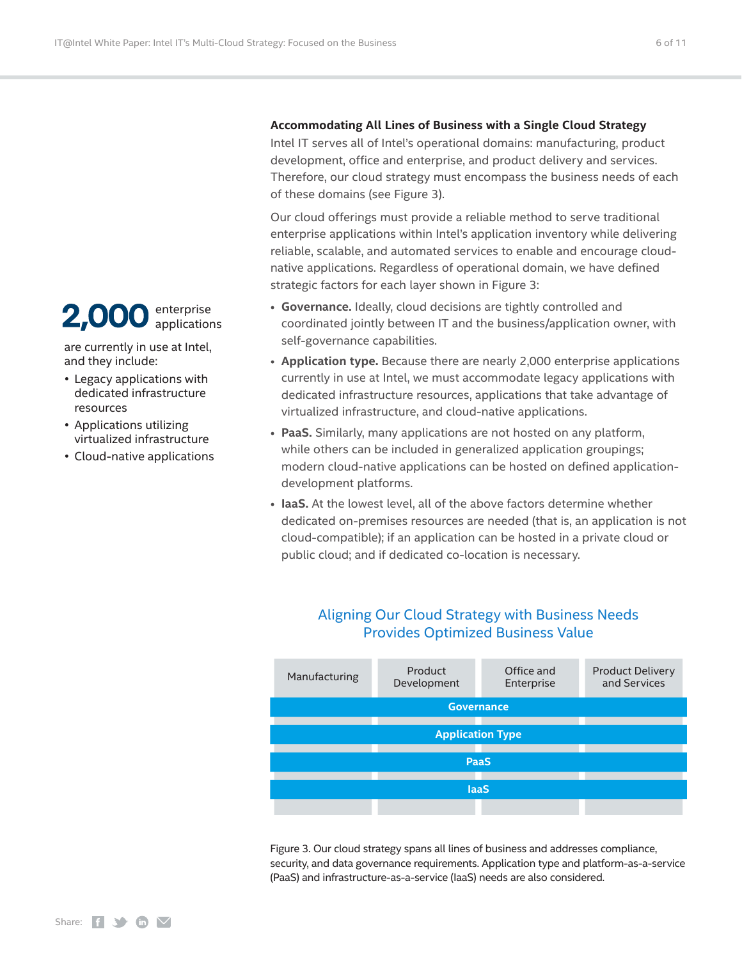#### 2,00 enterprise applications

are currently in use at Intel, and they include:

- � Legacy applications with dedicated infrastructure resources
- � Applications utilizing virtualized infrastructure
- � Cloud-native applications

### **Accommodating All Lines of Business with a Single Cloud Strategy**

Intel IT serves all of Intel's operational domains: manufacturing, product development, office and enterprise, and product delivery and services. Therefore, our cloud strategy must encompass the business needs of each of these domains (see Figure 3).

Our cloud offerings must provide a reliable method to serve traditional enterprise applications within Intel's application inventory while delivering reliable, scalable, and automated services to enable and encourage cloudnative applications. Regardless of operational domain, we have defined strategic factors for each layer shown in Figure 3:

- **Governance.** Ideally, cloud decisions are tightly controlled and coordinated jointly between IT and the business/application owner, with self-governance capabilities.
- **Application type.** Because there are nearly 2,000 enterprise applications currently in use at Intel, we must accommodate legacy applications with dedicated infrastructure resources, applications that take advantage of virtualized infrastructure, and cloud-native applications.
- **PaaS.** Similarly, many applications are not hosted on any platform, while others can be included in generalized application groupings; modern cloud-native applications can be hosted on defined applicationdevelopment platforms.
- **IaaS.** At the lowest level, all of the above factors determine whether dedicated on-premises resources are needed (that is, an application is not cloud-compatible); if an application can be hosted in a private cloud or public cloud; and if dedicated co-location is necessary.

## Aligning Our Cloud Strategy with Business Needs Provides Optimized Business Value



Figure 3. Our cloud strategy spans all lines of business and addresses compliance, security, and data governance requirements. Application type and platform-as-a-service (PaaS) and infrastructure-as-a-service (IaaS) needs are also considered.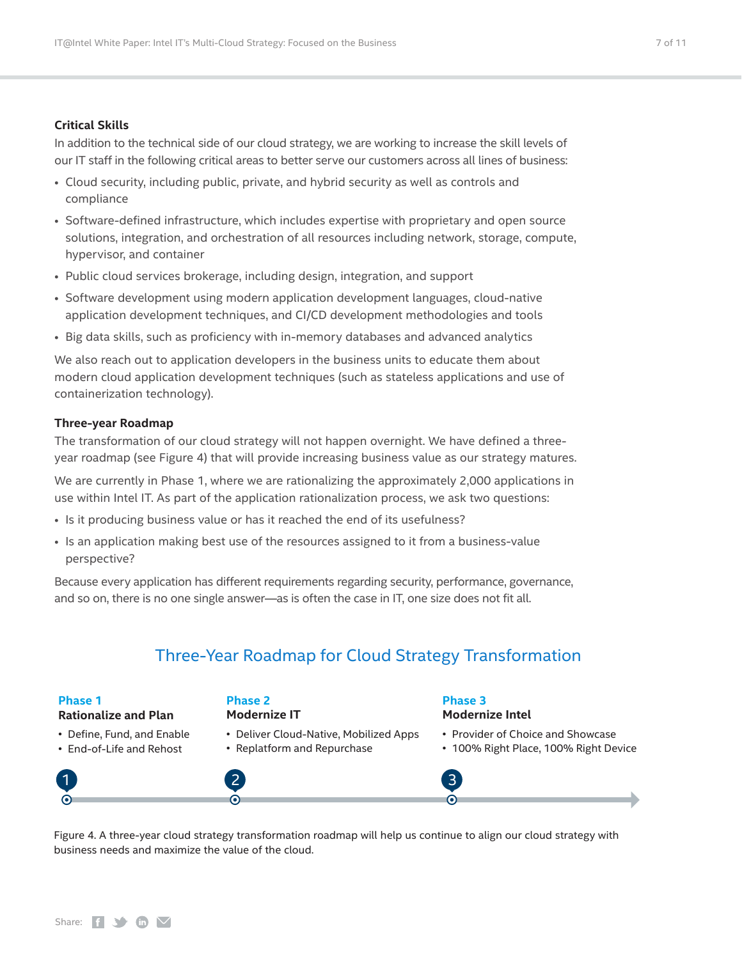#### **Critical Skills**

In addition to the technical side of our cloud strategy, we are working to increase the skill levels of our IT staff in the following critical areas to better serve our customers across all lines of business:

- Cloud security, including public, private, and hybrid security as well as controls and compliance
- Software-defined infrastructure, which includes expertise with proprietary and open source solutions, integration, and orchestration of all resources including network, storage, compute, hypervisor, and container
- Public cloud services brokerage, including design, integration, and support
- Software development using modern application development languages, cloud-native application development techniques, and CI/CD development methodologies and tools
- Big data skills, such as proficiency with in-memory databases and advanced analytics

We also reach out to application developers in the business units to educate them about modern cloud application development techniques (such as stateless applications and use of containerization technology).

#### **Three-year Roadmap**

The transformation of our cloud strategy will not happen overnight. We have defined a threeyear roadmap (see Figure 4) that will provide increasing business value as our strategy matures.

We are currently in Phase 1, where we are rationalizing the approximately 2,000 applications in use within Intel IT. As part of the application rationalization process, we ask two questions:

- Is it producing business value or has it reached the end of its usefulness?
- Is an application making best use of the resources assigned to it from a business-value perspective?

Because every application has different requirements regarding security, performance, governance, and so on, there is no one single answer—as is often the case in IT, one size does not fit all.

## Three-Year Roadmap for Cloud Strategy Transformation

#### **Phase 1**

#### **Rationalize and Plan**

- � Define, Fund, and Enable
- � End-of-Life and Rehost

#### **Phase 2 Modernize IT**

- � Deliver Cloud-Native, Mobilized Apps
- � Replatform and Repurchase

#### **Phase 3 Modernize Intel**

- Provider of Choice and Showcase
- � 100% Right Place, 100% Right Device



Figure 4. A three-year cloud strategy transformation roadmap will help us continue to align our cloud strategy with business needs and maximize the value of the cloud.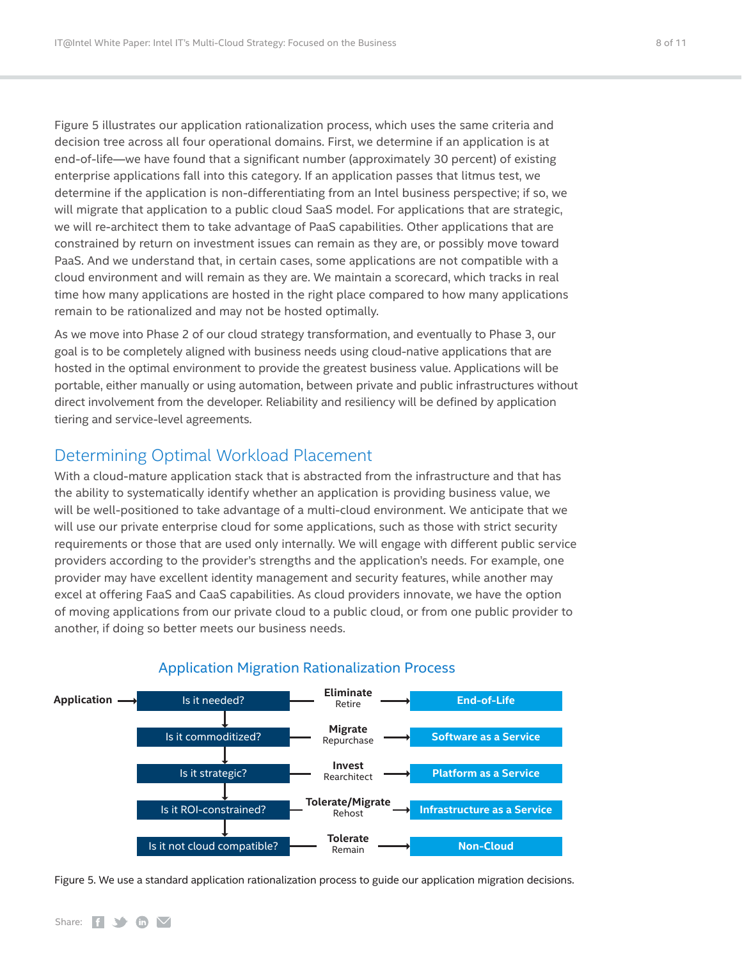<span id="page-7-0"></span>Figure 5 illustrates our application rationalization process, which uses the same criteria and decision tree across all four operational domains. First, we determine if an application is at end-of-life—we have found that a significant number (approximately 30 percent) of existing enterprise applications fall into this category. If an application passes that litmus test, we determine if the application is non-differentiating from an Intel business perspective; if so, we will migrate that application to a public cloud SaaS model. For applications that are strategic, we will re-architect them to take advantage of PaaS capabilities. Other applications that are constrained by return on investment issues can remain as they are, or possibly move toward PaaS. And we understand that, in certain cases, some applications are not compatible with a cloud environment and will remain as they are. We maintain a scorecard, which tracks in real time how many applications are hosted in the right place compared to how many applications remain to be rationalized and may not be hosted optimally.

As we move into Phase 2 of our cloud strategy transformation, and eventually to Phase 3, our goal is to be completely aligned with business needs using cloud-native applications that are hosted in the optimal environment to provide the greatest business value. Applications will be portable, either manually or using automation, between private and public infrastructures without direct involvement from the developer. Reliability and resiliency will be defined by application tiering and service-level agreements.

## Determining Optimal Workload Placement

With a cloud-mature application stack that is abstracted from the infrastructure and that has the ability to systematically identify whether an application is providing business value, we will be well-positioned to take advantage of a multi-cloud environment. We anticipate that we will use our private enterprise cloud for some applications, such as those with strict security requirements or those that are used only internally. We will engage with different public service providers according to the provider's strengths and the application's needs. For example, one provider may have excellent identity management and security features, while another may excel at offering FaaS and CaaS capabilities. As cloud providers innovate, we have the option of moving applications from our private cloud to a public cloud, or from one public provider to another, if doing so better meets our business needs.



#### Application Migration Rationalization Process

Figure 5. We use a standard application rationalization process to guide our application migration decisions.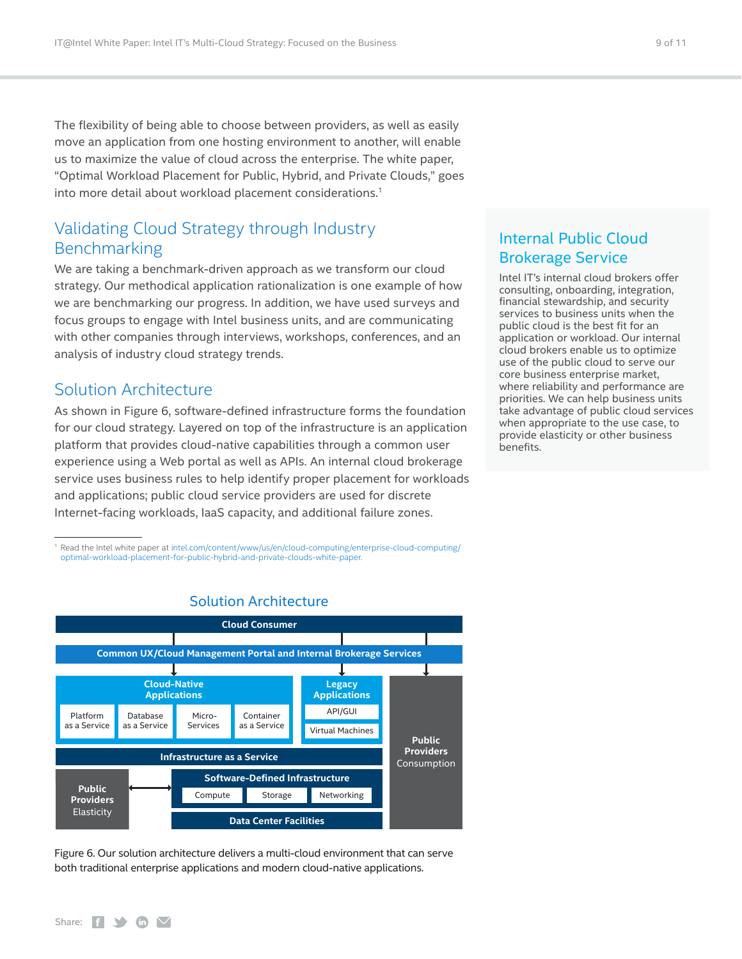<span id="page-8-0"></span>The flexibility of being able to choose between providers, as well as easily move an application from one hosting environment to another, will enable us to maximize the value of cloud across the enterprise. The white paper, "Optimal Workload Placement for Public, Hybrid, and Private Clouds," goes into more detail about workload placement considerations.<sup>1</sup>

## Validating Cloud Strategy through Industry Benchmarking

We are taking a benchmark-driven approach as we transform our cloud strategy. Our methodical application rationalization is one example of how we are benchmarking our progress. In addition, we have used surveys and focus groups to engage with Intel business units, and are communicating with other companies through interviews, workshops, conferences, and an analysis of industry cloud strategy trends.

### Solution Architecture

As shown in Figure 6, software-defined infrastructure forms the foundation for our cloud strategy. Layered on top of the infrastructure is an application platform that provides cloud-native capabilities through a common user experience using a Web portal as well as APIs. An internal cloud brokerage service uses business rules to help identify proper placement for workloads and applications; public cloud service providers are used for discrete Internet-facing workloads, IaaS capacity, and additional failure zones.

<sup>1</sup> Read the Intel white paper at [intel.com/content/www/us/en/cloud-computing/enterprise-cloud-computing/](https://www.intel.com/content/www/us/en/cloud-computing/enterprise-cloud-computing/optimal-workload-placement-for-public-hybrid-and-private-clouds-white-paper.html) [optimal-workload-placement-for-public-hybrid-and-private-clouds-white-paper.](https://www.intel.com/content/www/us/en/cloud-computing/enterprise-cloud-computing/optimal-workload-placement-for-public-hybrid-and-private-clouds-white-paper.html)



### Solution Architecture

Figure 6. Our solution architecture delivers a multi-cloud environment that can serve both traditional enterprise applications and modern cloud-native applications.

## Internal Public Cloud Brokerage Service

Intel IT's internal cloud brokers offer consulting, onboarding, integration, financial stewardship, and security services to business units when the public cloud is the best fit for an application or workload. Our internal cloud brokers enable us to optimize use of the public cloud to serve our core business enterprise market, where reliability and performance are priorities. We can help business units take advantage of public cloud services when appropriate to the use case, to provide elasticity or other business benefits.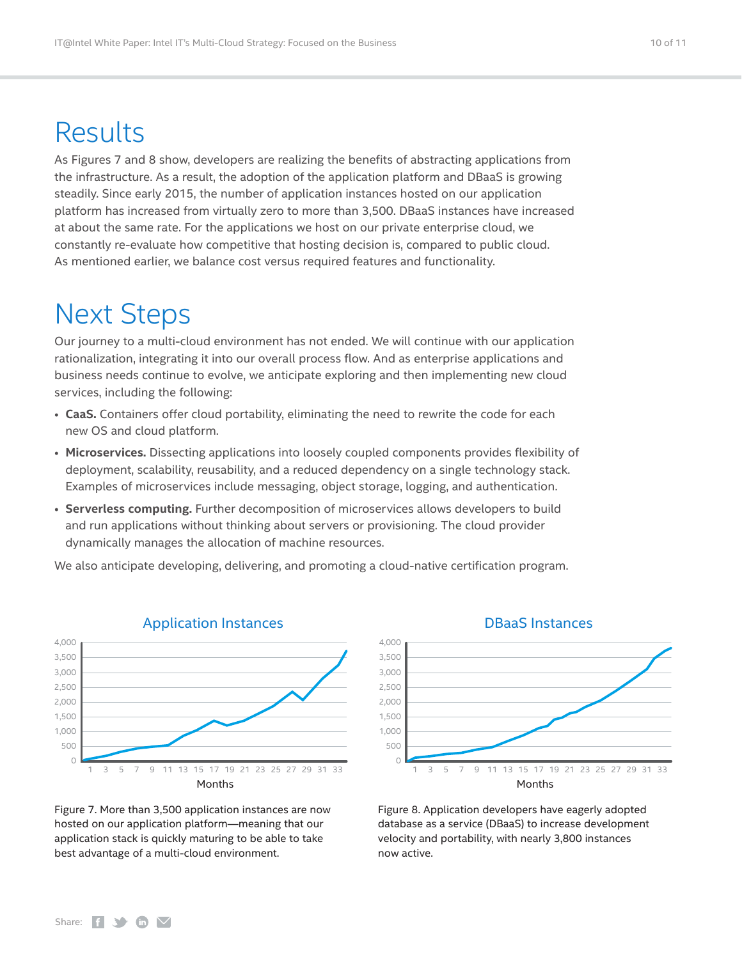## <span id="page-9-0"></span>Results

As Figures 7 and 8 show, developers are realizing the benefits of abstracting applications from the infrastructure. As a result, the adoption of the application platform and DBaaS is growing steadily. Since early 2015, the number of application instances hosted on our application platform has increased from virtually zero to more than 3,500. DBaaS instances have increased at about the same rate. For the applications we host on our private enterprise cloud, we constantly re-evaluate how competitive that hosting decision is, compared to public cloud. As mentioned earlier, we balance cost versus required features and functionality.

## Next Steps

Our journey to a multi-cloud environment has not ended. We will continue with our application rationalization, integrating it into our overall process flow. And as enterprise applications and business needs continue to evolve, we anticipate exploring and then implementing new cloud services, including the following:

- **CaaS.** Containers offer cloud portability, eliminating the need to rewrite the code for each new OS and cloud platform.
- **Microservices.** Dissecting applications into loosely coupled components provides flexibility of deployment, scalability, reusability, and a reduced dependency on a single technology stack. Examples of microservices include messaging, object storage, logging, and authentication.
- **Serverless computing.** Further decomposition of microservices allows developers to build and run applications without thinking about servers or provisioning. The cloud provider dynamically manages the allocation of machine resources.

We also anticipate developing, delivering, and promoting a cloud-native certification program.



Application Instances

Figure 7. More than 3,500 application instances are now hosted on our application platform—meaning that our application stack is quickly maturing to be able to take best advantage of a multi-cloud environment.

#### DBaaS Instances



Figure 8. Application developers have eagerly adopted database as a service (DBaaS) to increase development velocity and portability, with nearly 3,800 instances now active.